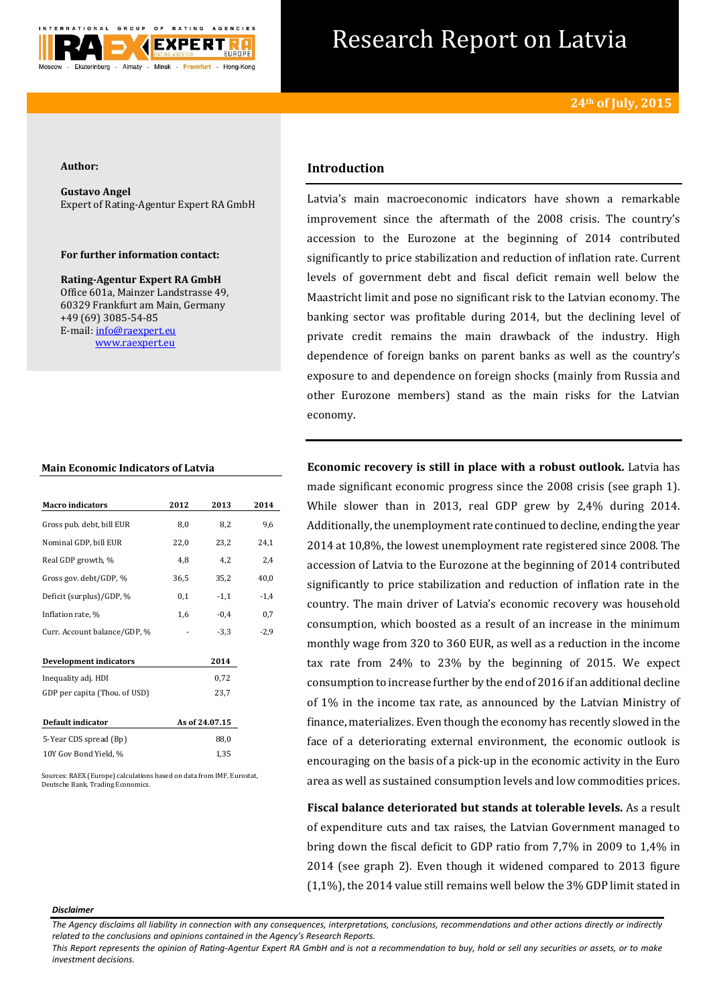

# Research Report on Latvia

#### **Author:**

**Gustavo Angel** Expert of Rating-Agentur Expert RA GmbH

## **For further information contact:**

**Rating-Agentur Expert RA GmbH** Office 601a, Mainzer Landstrasse 49, 60329 Frankfurt am Main, Germany +49 (69) 3085-54-85 E-mail[: info@raexpert.eu](mailto:info@raexpert.eu) [www.raexpert.eu](http://raexpert.eu/)

### **Main Economic Indicators of Latvia**

| <b>Macro indicators</b>       | 2012 | 2013           | 2014   |
|-------------------------------|------|----------------|--------|
| Gross pub. debt, bill EUR     | 8,0  | 8,2            | 9,6    |
| Nominal GDP, bill EUR         | 22,0 | 23,2           | 24,1   |
| Real GDP growth, %            | 4,8  | 4,2            | 2,4    |
| Gross gov. debt/GDP, %        | 36,5 | 35,2           | 40,0   |
| Deficit (surplus)/GDP, %      | 0,1  | $-1,1$         | $-1,4$ |
| Inflation rate, %             | 1,6  | $-0.4$         | 0,7    |
| Curr. Account balance/GDP, %  |      | $-3,3$         | $-2,9$ |
| <b>Development indicators</b> |      | 2014           |        |
| Inequality adj. HDI           |      | 0,72           |        |
| GDP per capita (Thou. of USD) |      | 23,7           |        |
| Default indicator             |      | As of 24.07.15 |        |
| 5-Year CDS spread (Bp)        |      | 88,0           |        |
| 10Y Gov Bond Yield, %         |      | 1,35           |        |

Sources: RAEX (Europe) calculations based on data from IMF, Eurostat, Deutsche Bank, Trading Economics.

# **Introduction**

Latvia's main macroeconomic indicators have shown a remarkable improvement since the aftermath of the 2008 crisis. The country's accession to the Eurozone at the beginning of 2014 contributed significantly to price stabilization and reduction of inflation rate. Current levels of government debt and fiscal deficit remain well below the Maastricht limit and pose no significant risk to the Latvian economy. The banking sector was profitable during 2014, but the declining level of private credit remains the main drawback of the industry. High dependence of foreign banks on parent banks as well as the country's exposure to and dependence on foreign shocks (mainly from Russia and other Eurozone members) stand as the main risks for the Latvian economy.

**Economic recovery is still in place with a robust outlook.** Latvia has made significant economic progress since the 2008 crisis (see graph 1). While slower than in 2013, real GDP grew by 2,4% during 2014. Additionally, the unemployment rate continued to decline, ending the year 2014 at 10,8%, the lowest unemployment rate registered since 2008. The accession of Latvia to the Eurozone at the beginning of 2014 contributed significantly to price stabilization and reduction of inflation rate in the country. The main driver of Latvia's economic recovery was household consumption, which boosted as a result of an increase in the minimum monthly wage from 320 to 360 EUR, as well as a reduction in the income tax rate from 24% to 23% by the beginning of 2015. We expect consumption to increase further by the end of 2016 if an additional decline of 1% in the income tax rate, as announced by the Latvian Ministry of finance, materializes. Even though the economy has recently slowed in the face of a deteriorating external environment, the economic outlook is encouraging on the basis of a pick-up in the economic activity in the Euro area as well as sustained consumption levels and low commodities prices.

**Fiscal balance deteriorated but stands at tolerable levels.** As a result of expenditure cuts and tax raises, the Latvian Government managed to bring down the fiscal deficit to GDP ratio from 7,7% in 2009 to 1,4% in 2014 (see graph 2). Even though it widened compared to 2013 figure (1,1%), the 2014 value still remains well below the 3% GDP limit stated in

#### *Disclaimer*

*This Report represents the opinion of Rating-Agentur Expert RA GmbH and is not a recommendation to buy, hold or sell any securities or assets, or to make investment decisions.*

*The Agency disclaims all liability in connection with any consequences, interpretations, conclusions, recommendations and other actions directly or indirectly related to the conclusions and opinions contained in the Agency's Research Reports.*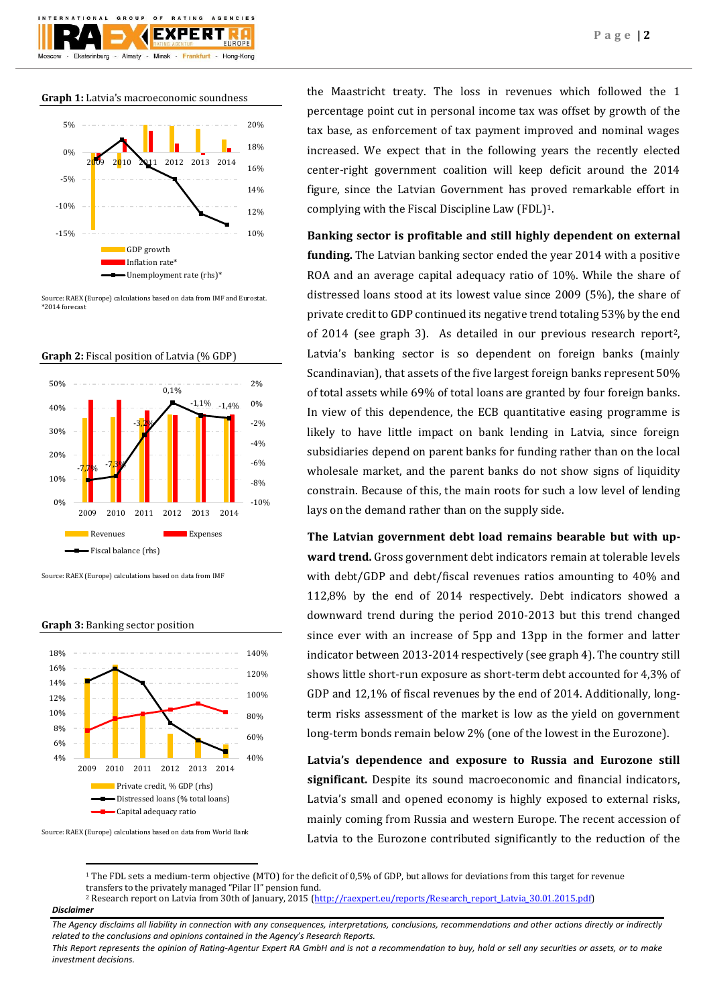**Graph 1:** Latvia's macroeconomic soundness

 $O F$ 

Minsk -

GROUP

Almaty -

TIONAL

Ekaterinburg

**BATING** 

**EXPERT** 

Frankfurt -

AGENCIES

Hong-Kong



Source: RAEX (Europe) calculations based on data from IMF and Eurostat. \*2014 forecast



Source: RAEX (Europe) calculations based on data from IMF

**Graph 3:** Banking sector position



Source: RAEX (Europe) calculations based on data from World Bank

the Maastricht treaty. The loss in revenues which followed the 1 percentage point cut in personal income tax was offset by growth of the tax base, as enforcement of tax payment improved and nominal wages increased. We expect that in the following years the recently elected center-right government coalition will keep deficit around the 2014 figure, since the Latvian Government has proved remarkable effort in complying with the Fiscal Discipline Law (FDL)1.

**Banking sector is profitable and still highly dependent on external funding.** The Latvian banking sector ended the year 2014 with a positive ROA and an average capital adequacy ratio of 10%. While the share of distressed loans stood at its lowest value since 2009 (5%), the share of private credit to GDP continued its negative trend totaling 53% by the end of 2014 (see graph 3). As detailed in our previous research report2, Latvia's banking sector is so dependent on foreign banks (mainly Scandinavian), that assets of the five largest foreign banks represent 50% of total assets while 69% of total loans are granted by four foreign banks. In view of this dependence, the ECB quantitative easing programme is likely to have little impact on bank lending in Latvia, since foreign subsidiaries depend on parent banks for funding rather than on the local wholesale market, and the parent banks do not show signs of liquidity constrain. Because of this, the main roots for such a low level of lending lays on the demand rather than on the supply side.

**The Latvian government debt load remains bearable but with upward trend.** Gross government debt indicators remain at tolerable levels with debt/GDP and debt/fiscal revenues ratios amounting to 40% and 112,8% by the end of 2014 respectively. Debt indicators showed a downward trend during the period 2010-2013 but this trend changed since ever with an increase of 5pp and 13pp in the former and latter indicator between 2013-2014 respectively (see graph 4). The country still shows little short-run exposure as short-term debt accounted for 4,3% of GDP and 12,1% of fiscal revenues by the end of 2014. Additionally, longterm risks assessment of the market is low as the yield on government long-term bonds remain below 2% (one of the lowest in the Eurozone).

**Latvia's dependence and exposure to Russia and Eurozone still significant.** Despite its sound macroeconomic and financial indicators, Latvia's small and opened economy is highly exposed to external risks, mainly coming from Russia and western Europe. The recent accession of Latvia to the Eurozone contributed significantly to the reduction of the

<sup>1</sup> The FDL sets a medium-term objective (MTO) for the deficit of 0,5% of GDP, but allows for deviations from this target for revenue transfers to the privately managed "Pilar II" pension fund.

# **Graph 2:** Fiscal position of Latvia (% GDP)

**.** 

<sup>&</sup>lt;sup>2</sup> Research report on Latvia from 30th of January, 2015 [\(http://raexpert.eu/reports/Research\\_report\\_Latvia\\_30.01.2015.pdf\)](http://raexpert.eu/reports/Research_report_Latvia_30.01.2015.pdf)

*The Agency disclaims all liability in connection with any consequences, interpretations, conclusions, recommendations and other actions directly or indirectly related to the conclusions and opinions contained in the Agency's Research Reports.*

*This Report represents the opinion of Rating-Agentur Expert RA GmbH and is not a recommendation to buy, hold or sell any securities or assets, or to make investment decisions.*

*Disclaimer*